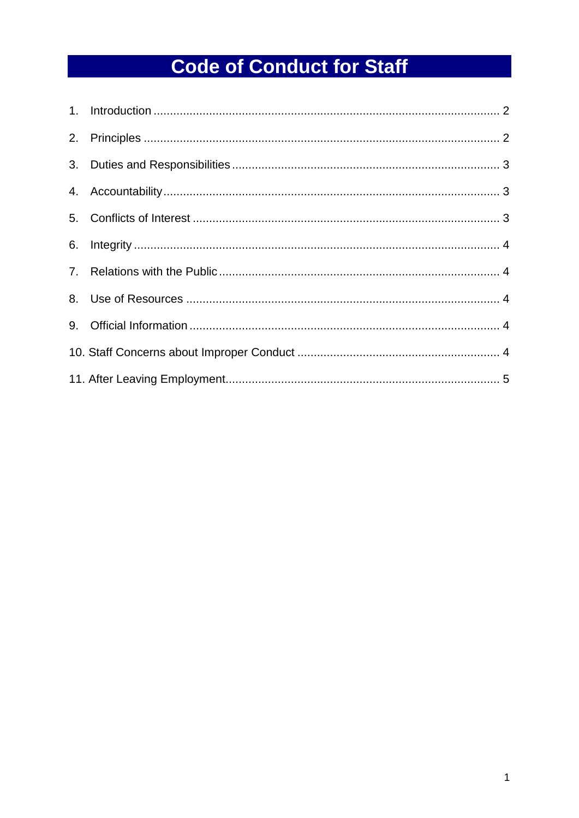# **Code of Conduct for Staff**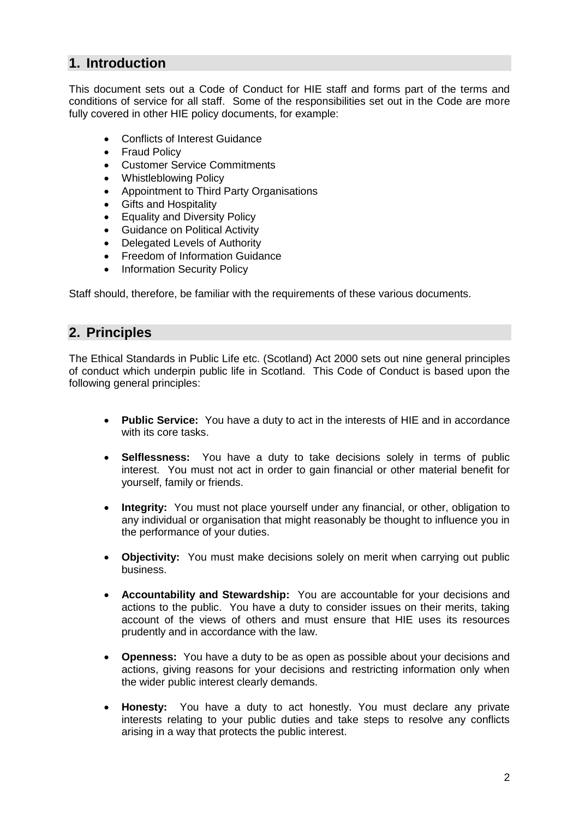## <span id="page-1-0"></span>**1. Introduction**

This document sets out a Code of Conduct for HIE staff and forms part of the terms and conditions of service for all staff. Some of the responsibilities set out in the Code are more fully covered in other HIE policy documents, for example:

- Conflicts of Interest Guidance
- Fraud Policy
- Customer Service Commitments
- Whistleblowing Policy
- Appointment to Third Party Organisations
- Gifts and Hospitality
- Equality and Diversity Policy
- **•** Guidance on Political Activity
- Delegated Levels of Authority
- Freedom of Information Guidance
- Information Security Policy

Staff should, therefore, be familiar with the requirements of these various documents.

## <span id="page-1-1"></span>**2. Principles**

The Ethical Standards in Public Life etc. (Scotland) Act 2000 sets out nine general principles of conduct which underpin public life in Scotland. This Code of Conduct is based upon the following general principles:

- **Public Service:** You have a duty to act in the interests of HIE and in accordance with its core tasks.
- **Selflessness:** You have a duty to take decisions solely in terms of public interest. You must not act in order to gain financial or other material benefit for yourself, family or friends.
- **Integrity:** You must not place yourself under any financial, or other, obligation to any individual or organisation that might reasonably be thought to influence you in the performance of your duties.
- **Objectivity:** You must make decisions solely on merit when carrying out public business.
- **Accountability and Stewardship:** You are accountable for your decisions and actions to the public. You have a duty to consider issues on their merits, taking account of the views of others and must ensure that HIE uses its resources prudently and in accordance with the law.
- **Openness:** You have a duty to be as open as possible about your decisions and actions, giving reasons for your decisions and restricting information only when the wider public interest clearly demands.
- **Honesty:** You have a duty to act honestly. You must declare any private interests relating to your public duties and take steps to resolve any conflicts arising in a way that protects the public interest.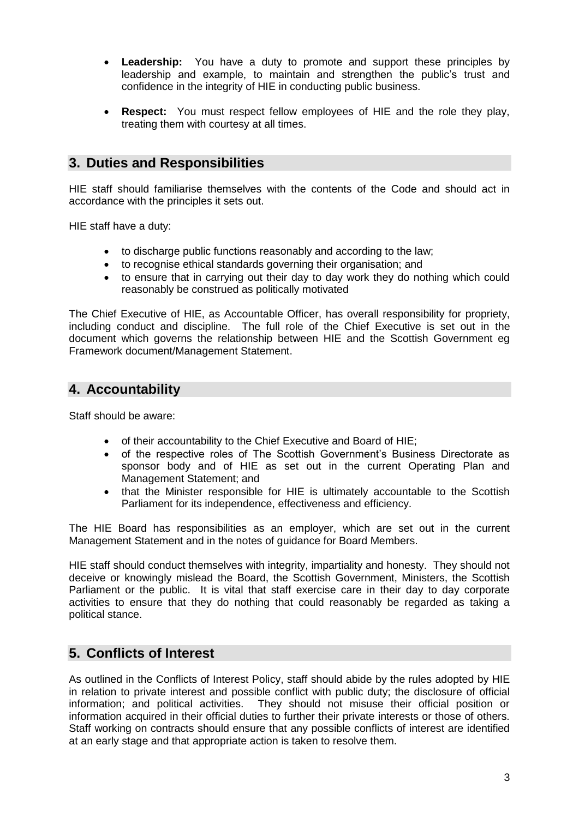- **Leadership:** You have a duty to promote and support these principles by leadership and example, to maintain and strengthen the public's trust and confidence in the integrity of HIE in conducting public business.
- **Respect:** You must respect fellow employees of HIE and the role they play, treating them with courtesy at all times.

### <span id="page-2-0"></span>**3. Duties and Responsibilities**

HIE staff should familiarise themselves with the contents of the Code and should act in accordance with the principles it sets out.

HIE staff have a duty:

- to discharge public functions reasonably and according to the law;
- to recognise ethical standards governing their organisation; and
- to ensure that in carrying out their day to day work they do nothing which could reasonably be construed as politically motivated

The Chief Executive of HIE, as Accountable Officer, has overall responsibility for propriety, including conduct and discipline. The full role of the Chief Executive is set out in the document which governs the relationship between HIE and the Scottish Government eg Framework document/Management Statement.

#### <span id="page-2-1"></span>**4. Accountability**

Staff should be aware:

- of their accountability to the Chief Executive and Board of HIE;
- of the respective roles of The Scottish Government's Business Directorate as sponsor body and of HIE as set out in the current Operating Plan and Management Statement; and
- that the Minister responsible for HIE is ultimately accountable to the Scottish Parliament for its independence, effectiveness and efficiency.

The HIE Board has responsibilities as an employer, which are set out in the current Management Statement and in the notes of guidance for Board Members.

HIE staff should conduct themselves with integrity, impartiality and honesty. They should not deceive or knowingly mislead the Board, the Scottish Government, Ministers, the Scottish Parliament or the public. It is vital that staff exercise care in their day to day corporate activities to ensure that they do nothing that could reasonably be regarded as taking a political stance.

#### <span id="page-2-2"></span>**5. Conflicts of Interest**

As outlined in the Conflicts of Interest Policy, staff should abide by the rules adopted by HIE in relation to private interest and possible conflict with public duty; the disclosure of official information; and political activities. They should not misuse their official position or information acquired in their official duties to further their private interests or those of others. Staff working on contracts should ensure that any possible conflicts of interest are identified at an early stage and that appropriate action is taken to resolve them.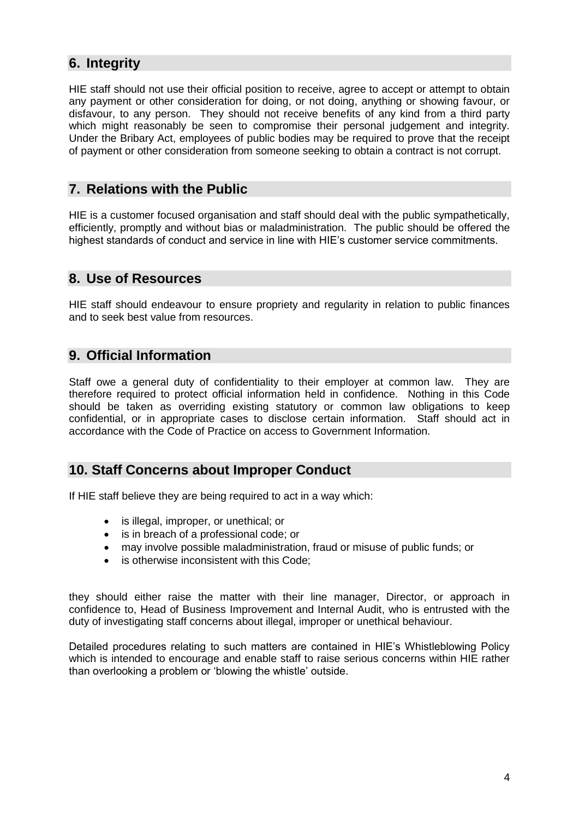## <span id="page-3-0"></span>**6. Integrity**

HIE staff should not use their official position to receive, agree to accept or attempt to obtain any payment or other consideration for doing, or not doing, anything or showing favour, or disfavour, to any person. They should not receive benefits of any kind from a third party which might reasonably be seen to compromise their personal judgement and integrity. Under the Bribary Act, employees of public bodies may be required to prove that the receipt of payment or other consideration from someone seeking to obtain a contract is not corrupt.

## <span id="page-3-1"></span>**7. Relations with the Public**

HIE is a customer focused organisation and staff should deal with the public sympathetically, efficiently, promptly and without bias or maladministration. The public should be offered the highest standards of conduct and service in line with HIE's customer service commitments.

#### <span id="page-3-2"></span>**8. Use of Resources**

HIE staff should endeavour to ensure propriety and regularity in relation to public finances and to seek best value from resources.

## <span id="page-3-3"></span>**9. Official Information**

Staff owe a general duty of confidentiality to their employer at common law. They are therefore required to protect official information held in confidence. Nothing in this Code should be taken as overriding existing statutory or common law obligations to keep confidential, or in appropriate cases to disclose certain information. Staff should act in accordance with the Code of Practice on access to Government Information.

## <span id="page-3-4"></span>**10. Staff Concerns about Improper Conduct**

If HIE staff believe they are being required to act in a way which:

- is illegal, improper, or unethical; or
- is in breach of a professional code; or
- may involve possible maladministration, fraud or misuse of public funds; or
- is otherwise inconsistent with this Code;

they should either raise the matter with their line manager, Director, or approach in confidence to, Head of Business Improvement and Internal Audit, who is entrusted with the duty of investigating staff concerns about illegal, improper or unethical behaviour.

Detailed procedures relating to such matters are contained in HIE's Whistleblowing Policy which is intended to encourage and enable staff to raise serious concerns within HIE rather than overlooking a problem or 'blowing the whistle' outside.